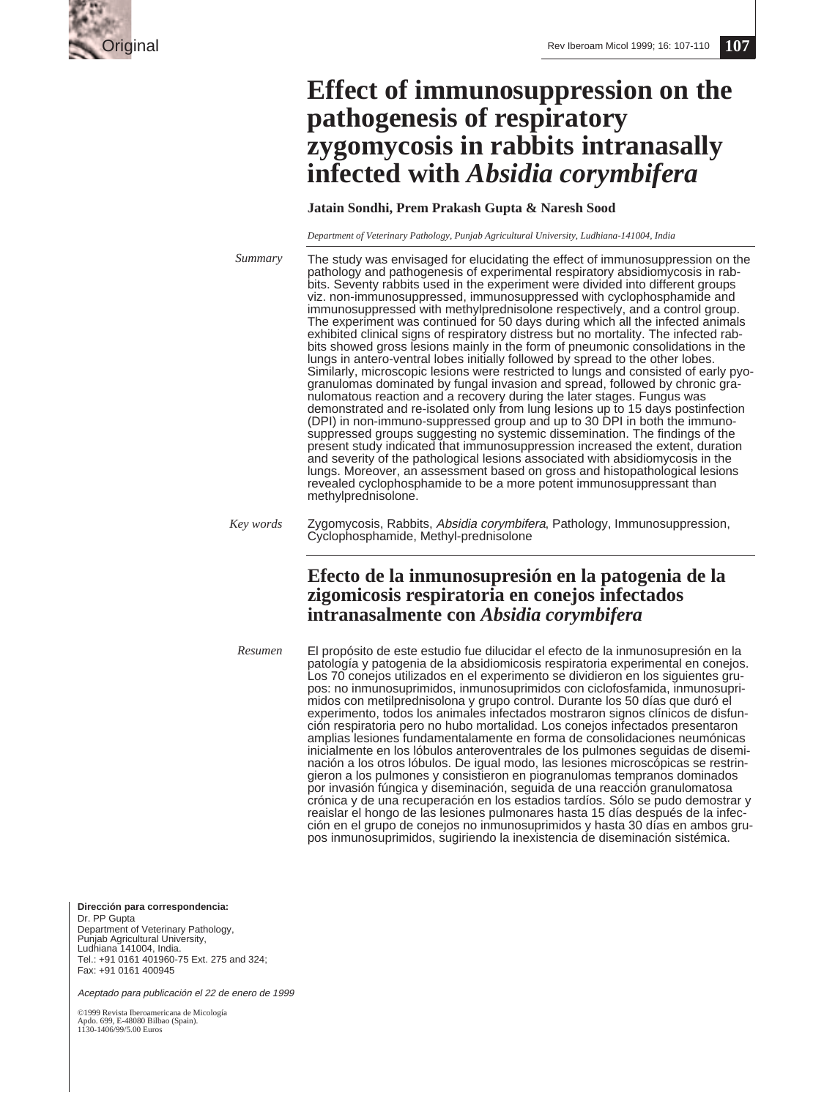

# **Effect of immunosuppression on the pathogenesis of respiratory zygomycosis in rabbits intranasally infected with** *Absidia corymbifera*

# **Jatain Sondhi, Prem Prakash Gupta & Naresh Sood**

*Department of Veterinary Pathology, Punjab Agricultural University, Ludhiana-141004, India*

*Summary*

The study was envisaged for elucidating the effect of immunosuppression on the pathology and pathogenesis of experimental respiratory absidiomycosis in rabbits. Seventy rabbits used in the experiment were divided into different groups viz. non-immunosuppressed, immunosuppressed with cyclophosphamide and immunosuppressed with methylprednisolone respectively, and a control group. The experiment was continued for 50 days during which all the infected animals exhibited clinical signs of respiratory distress but no mortality. The infected rabbits showed gross lesions mainly in the form of pneumonic consolidations in the lungs in antero-ventral lobes initially followed by spread to the other lobes. Similarly, microscopic lesions were restricted to lungs and consisted of early pyogranulomas dominated by fungal invasion and spread, followed by chronic granulomatous reaction and a recovery during the later stages. Fungus was demonstrated and re-isolated only from lung lesions up to 15 days postinfection (DPI) in non-immuno-suppressed group and up to 30 DPI in both the immunosuppressed groups suggesting no systemic dissemination. The findings of the present study indicated that immunosuppression increased the extent, duration and severity of the pathological lesions associated with absidiomycosis in the lungs. Moreover, an assessment based on gross and histopathological lesions revealed cyclophosphamide to be a more potent immunosuppressant than methylprednisolone.

# **Efecto de la inmunosupresión en la patogenia de la zigomicosis respiratoria en conejos infectados intranasalmente con** *Absidia corymbifera*

*Resumen*

El propósito de este estudio fue dilucidar el efecto de la inmunosupresión en la patología y patogenia de la absidiomicosis respiratoria experimental en conejos. Los 70 conejos utilizados en el experimento se dividieron en los siguientes grupos: no inmunosuprimidos, inmunosuprimidos con ciclofosfamida, inmunosuprimidos con metilprednisolona y grupo control. Durante los 50 días que duró el experimento, todos los animales infectados mostraron signos clínicos de disfunción respiratoria pero no hubo mortalidad. Los conejos infectados presentaron amplias lesiones fundamentalamente en forma de consolidaciones neumónicas inicialmente en los lóbulos anteroventrales de los pulmones seguidas de diseminación a los otros lóbulos. De igual modo, las lesiones microscópicas se restringieron a los pulmones y consistieron en piogranulomas tempranos dominados por invasión fúngica y diseminación, seguida de una reacción granulomatosa crónica y de una recuperación en los estadios tardíos. Sólo se pudo demostrar y reaislar el hongo de las lesiones pulmonares hasta 15 días después de la infección en el grupo de conejos no inmunosuprimidos y hasta 30 días en ambos grupos inmunosuprimidos, sugiriendo la inexistencia de diseminación sistémica.

**Dirección para correspondencia:**

Dr. PP Gupta Department of Veterinary Pathology, Punjab Agricultural University, Ludhiana 141004, India. Tel.: +91 0161 401960-75 Ext. 275 and 324; Fax: +91 0161 400945

Aceptado para publicación el 22 de enero de 1999

©1999 Revista Iberoamericana de Micología Apdo. 699, E-48080 Bilbao (Spain). 1130-1406/99/5.00 Euros

Zygomycosis, Rabbits, Absidia corymbifera, Pathology, Immunosuppression, Cyclophosphamide, Methyl-prednisolone *Key words*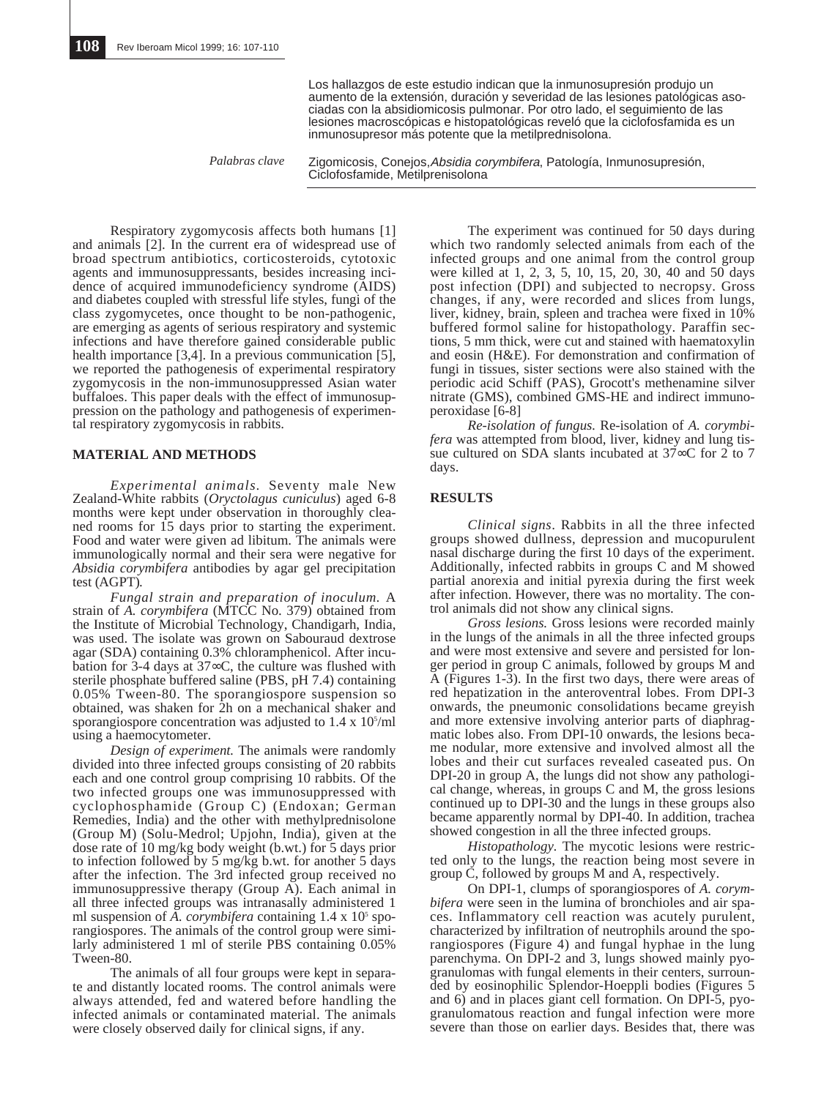Los hallazgos de este estudio indican que la inmunosupresión produjo un aumento de la extensión, duración y severidad de las lesiones patológicas asociadas con la absidiomicosis pulmonar. Por otro lado, el seguimiento de las lesiones macroscópicas e histopatológicas reveló que la ciclofosfamida es un inmunosupresor más potente que la metilprednisolona.

*Palabras clave*

Zigomicosis, Conejos,Absidia corymbifera, Patología, Inmunosupresión, Ciclofosfamide, Metilprenisolona

Respiratory zygomycosis affects both humans [1] and animals [2]. In the current era of widespread use of broad spectrum antibiotics, corticosteroids, cytotoxic agents and immunosuppressants, besides increasing incidence of acquired immunodeficiency syndrome (AIDS) and diabetes coupled with stressful life styles, fungi of the class zygomycetes, once thought to be non-pathogenic, are emerging as agents of serious respiratory and systemic infections and have therefore gained considerable public health importance [3,4]. In a previous communication [5], we reported the pathogenesis of experimental respiratory zygomycosis in the non-immunosuppressed Asian water buffaloes. This paper deals with the effect of immunosuppression on the pathology and pathogenesis of experimental respiratory zygomycosis in rabbits.

#### **MATERIAL AND METHODS**

*Experimental animals.* Seventy male New Zealand-White rabbits (*Oryctolagus cuniculus*) aged 6-8 months were kept under observation in thoroughly cleaned rooms for 15 days prior to starting the experiment. Food and water were given ad libitum. The animals were immunologically normal and their sera were negative for *Absidia corymbifera* antibodies by agar gel precipitation test (AGPT).

*Fungal strain and preparation of inoculum.* A strain of *A. corymbifera* (MTCC No. 379) obtained from the Institute of Microbial Technology, Chandigarh, India, was used. The isolate was grown on Sabouraud dextrose agar (SDA) containing 0.3% chloramphenicol. After incubation for 3-4 days at 37∞C, the culture was flushed with sterile phosphate buffered saline (PBS, pH 7.4) containing 0.05% Tween-80. The sporangiospore suspension so obtained, was shaken for 2h on a mechanical shaker and sporangiospore concentration was adjusted to  $1.4 \times 10^5$ /ml using a haemocytometer.

*Design of experiment.* The animals were randomly divided into three infected groups consisting of 20 rabbits each and one control group comprising 10 rabbits. Of the two infected groups one was immunosuppressed with cyclophosphamide (Group C) (Endoxan; German Remedies, India) and the other with methylprednisolone (Group M) (Solu-Medrol; Upjohn, India), given at the dose rate of 10 mg/kg body weight (b.wt.) for 5 days prior to infection followed by 5 mg/kg b.wt. for another 5 days after the infection. The 3rd infected group received no immunosuppressive therapy (Group A). Each animal in all three infected groups was intranasally administered 1 ml suspension of  $\overline{A}$ . *corymbifera* containing  $1.4 \times 10^5$  sporangiospores. The animals of the control group were similarly administered 1 ml of sterile PBS containing 0.05% Tween-80.

The animals of all four groups were kept in separate and distantly located rooms. The control animals were always attended, fed and watered before handling the infected animals or contaminated material. The animals were closely observed daily for clinical signs, if any.

The experiment was continued for 50 days during which two randomly selected animals from each of the infected groups and one animal from the control group were killed at 1, 2, 3, 5, 10, 15, 20, 30, 40 and 50 days post infection (DPI) and subjected to necropsy. Gross changes, if any, were recorded and slices from lungs, liver, kidney, brain, spleen and trachea were fixed in 10% buffered formol saline for histopathology. Paraffin sections, 5 mm thick, were cut and stained with haematoxylin and eosin (H&E). For demonstration and confirmation of fungi in tissues, sister sections were also stained with the periodic acid Schiff (PAS), Grocott's methenamine silver nitrate (GMS), combined GMS-HE and indirect immunoperoxidase [6-8]

*Re-isolation of fungus.* Re-isolation of *A. corymbifera* was attempted from blood, liver, kidney and lung tissue cultured on SDA slants incubated at 37∞C for 2 to 7 days.

#### **RESULTS**

*Clinical signs*. Rabbits in all the three infected groups showed dullness, depression and mucopurulent nasal discharge during the first 10 days of the experiment. Additionally, infected rabbits in groups C and M showed partial anorexia and initial pyrexia during the first week after infection. However, there was no mortality. The control animals did not show any clinical signs.

*Gross lesions.* Gross lesions were recorded mainly in the lungs of the animals in all the three infected groups and were most extensive and severe and persisted for longer period in group C animals, followed by groups M and A (Figures 1-3). In the first two days, there were areas of red hepatization in the anteroventral lobes. From DPI-3 onwards, the pneumonic consolidations became greyish and more extensive involving anterior parts of diaphragmatic lobes also. From DPI-10 onwards, the lesions became nodular, more extensive and involved almost all the lobes and their cut surfaces revealed caseated pus. On DPI-20 in group A, the lungs did not show any pathological change, whereas, in groups C and M, the gross lesions continued up to DPI-30 and the lungs in these groups also became apparently normal by DPI-40. In addition, trachea showed congestion in all the three infected groups.

*Histopathology.* The mycotic lesions were restricted only to the lungs, the reaction being most severe in group C, followed by groups M and A, respectively.

On DPI-1, clumps of sporangiospores of *A. corymbifera* were seen in the lumina of bronchioles and air spaces. Inflammatory cell reaction was acutely purulent, characterized by infiltration of neutrophils around the sporangiospores (Figure 4) and fungal hyphae in the lung parenchyma. On DPI-2 and 3, lungs showed mainly pyogranulomas with fungal elements in their centers, surrounded by eosinophilic Splendor-Hoeppli bodies (Figures 5 and 6) and in places giant cell formation. On DPI-5, pyogranulomatous reaction and fungal infection were more severe than those on earlier days. Besides that, there was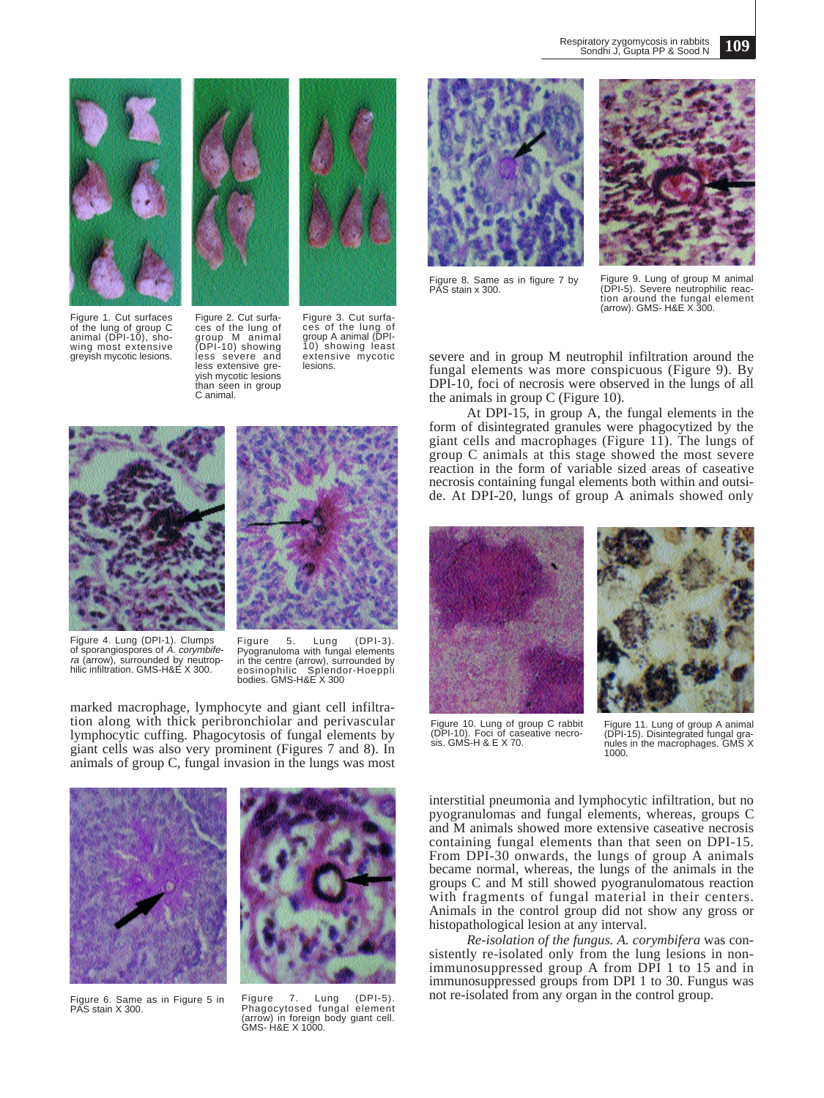

Figure 1. Cut surfaces of the lung of group C animal (DPI-10), showing most extensive greyish mycotic lesions.



Figure 2. Cut surfa-ces of the lung of group M animal (DPI-10) showing less severe and less extensive greyish mycotic lesions than seen in group C animal.

marked macrophage, lymphocyte and giant cell infiltration along with thick peribronchiolar and perivascular lymphocytic cuffing. Phagocytosis of fungal elements by giant cells was also very prominent (Figures 7 and 8). In animals of group C, fungal invasion in the lungs was most

Figure 3. Cut surfaces of the lung of group A animal (DPI-10) showing least extensive mycotic lesions.



Figure 8. Same as in figure 7 by PAS stain x 300.

Figure 9. Lung of group M animal (DPI-5). Severe neutrophilic reaction around the fungal element (arrow). GMS- H&E X 300.

severe and in group M neutrophil infiltration around the fungal elements was more conspicuous (Figure 9). By DPI-10, foci of necrosis were observed in the lungs of all the animals in group C (Figure 10).

At DPI-15, in group A, the fungal elements in the form of disintegrated granules were phagocytized by the giant cells and macrophages (Figure 11). The lungs of group C animals at this stage showed the most severe reaction in the form of variable sized areas of caseative necrosis containing fungal elements both within and outside. At DPI-20, lungs of group A animals showed only





Figure 10. Lung of group C rabbit (DPI-10). Foci of caseative necro-sis. GMS-H & E X 70.

Figure 11. Lung of group A animal (DPI-15). Disintegrated fungal gra-nules in the macrophages. GMS X



Figure 4. Lung (DPI-1). Clumps<br>of sporangiospores of A. *corymbifera* (arrow), surrounded by neutrop-<br>hilic infiltration. GMS-H&E X 300.

Figure 6. Same as in Figure 5 in PAS stain X 300.



Figure 5. Lung (DPI-3). Pyogranuloma with fungal elements in the centre (arrow), surrounded by eosinophilic Splendor-Hoeppli

bodies. GMS-H&E X 300

Figure 7. Lung (DPI-5). Phagocytosed fungal element (arrow) in foreign body giant cell. GMS- H&E X 1000.





1000.

interstitial pneumonia and lymphocytic infiltration, but no pyogranulomas and fungal elements, whereas, groups C and M animals showed more extensive caseative necrosis containing fungal elements than that seen on DPI-15. From DPI-30 onwards, the lungs of group A animals became normal, whereas, the lungs of the animals in the groups C and M still showed pyogranulomatous reaction with fragments of fungal material in their centers. Animals in the control group did not show any gross or histopathological lesion at any interval.

*Re-isolation of the fungus. A. corymbifera* was consistently re-isolated only from the lung lesions in nonimmunosuppressed group A from DPI 1 to 15 and in immunosuppressed groups from DPI 1 to 30. Fungus was not re-isolated from any organ in the control group.